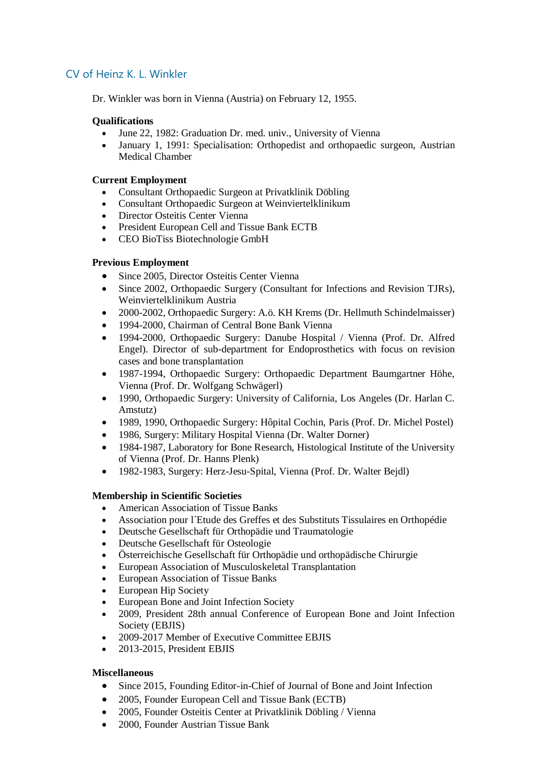# CV of Heinz K. L. Winkler

Dr. Winkler was born in Vienna (Austria) on February 12, 1955.

#### **Qualifications**

- June 22, 1982: Graduation Dr. med. univ., University of Vienna
- January 1, 1991: Specialisation: Orthopedist and orthopaedic surgeon, Austrian Medical Chamber

#### **Current Employment**

- Consultant Orthopaedic Surgeon at Privatklinik Döbling
- Consultant Orthopaedic Surgeon at Weinviertelklinikum
- Director Osteitis Center Vienna
- President European Cell and Tissue Bank ECTB
- CEO BioTiss Biotechnologie GmbH

#### **Previous Employment**

- Since 2005, Director Osteitis Center Vienna
- Since 2002, Orthopaedic Surgery (Consultant for Infections and Revision TJRs), Weinviertelklinikum Austria
- 2000-2002, Orthopaedic Surgery: A.ö. KH Krems (Dr. Hellmuth Schindelmaisser)
- 1994-2000, Chairman of Central Bone Bank Vienna
- 1994-2000, Orthopaedic Surgery: Danube Hospital / Vienna (Prof. Dr. Alfred Engel). Director of sub-department for Endoprosthetics with focus on revision cases and bone transplantation
- 1987-1994, Orthopaedic Surgery: Orthopaedic Department Baumgartner Höhe, Vienna (Prof. Dr. Wolfgang Schwägerl)
- 1990, Orthopaedic Surgery: University of California, Los Angeles (Dr. Harlan C. Amstutz)
- 1989, 1990, Orthopaedic Surgery: Hôpital Cochin, Paris (Prof. Dr. Michel Postel)
- 1986, Surgery: Military Hospital Vienna (Dr. Walter Dorner)
- 1984-1987, Laboratory for Bone Research, Histological Institute of the University of Vienna (Prof. Dr. Hanns Plenk)
- 1982-1983, Surgery: Herz-Jesu-Spital, Vienna (Prof. Dr. Walter Bejdl)

## **Membership in Scientific Societies**

- American Association of Tissue Banks
- Association pour l´Etude des Greffes et des Substituts Tissulaires en Orthopédie
- Deutsche Gesellschaft für Orthopädie und Traumatologie
- Deutsche Gesellschaft für Osteologie
- Österreichische Gesellschaft für Orthopädie und orthopädische Chirurgie
- European Association of Musculoskeletal Transplantation
- European Association of Tissue Banks
- European Hip Society
- European Bone and Joint Infection Society
- 2009, President 28th annual Conference of European Bone and Joint Infection Society (EBJIS)
- 2009-2017 Member of Executive Committee EBJIS
- 2013-2015, President EBJIS

#### **Miscellaneous**

- Since 2015, Founding Editor-in-Chief of Journal of Bone and Joint Infection
- 2005, Founder European Cell and Tissue Bank (ECTB)
- 2005, Founder Osteitis Center at Privatklinik Döbling / Vienna
- 2000, Founder Austrian Tissue Bank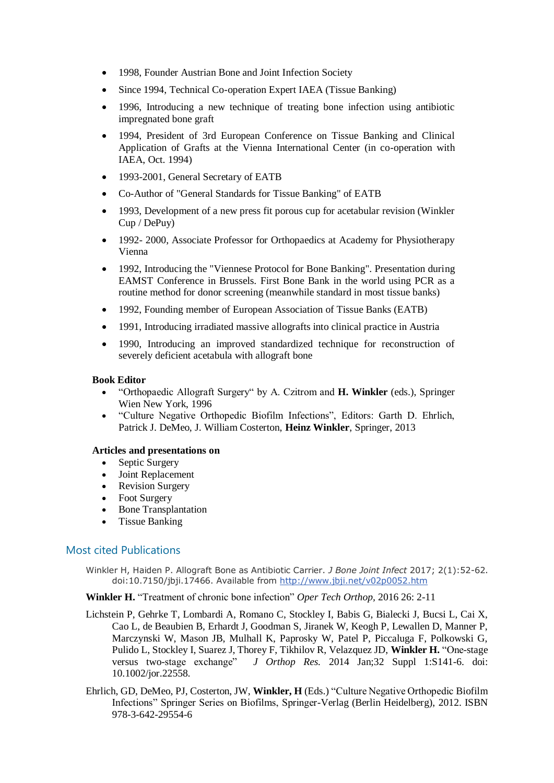- 1998, Founder Austrian Bone and Joint Infection Society
- Since 1994, Technical Co-operation Expert IAEA (Tissue Banking)
- 1996, Introducing a new technique of treating bone infection using antibiotic impregnated bone graft
- 1994, President of 3rd European Conference on Tissue Banking and Clinical Application of Grafts at the Vienna International Center (in co-operation with IAEA, Oct. 1994)
- 1993-2001, General Secretary of EATB
- Co-Author of "General Standards for Tissue Banking" of EATB
- 1993, Development of a new press fit porous cup for acetabular revision (Winkler Cup / DePuy)
- 1992- 2000, Associate Professor for Orthopaedics at Academy for Physiotherapy Vienna
- 1992, Introducing the "Viennese Protocol for Bone Banking". Presentation during EAMST Conference in Brussels. First Bone Bank in the world using PCR as a routine method for donor screening (meanwhile standard in most tissue banks)
- 1992, Founding member of European Association of Tissue Banks (EATB)
- 1991, Introducing irradiated massive allografts into clinical practice in Austria
- 1990, Introducing an improved standardized technique for reconstruction of severely deficient acetabula with allograft bone

#### **Book Editor**

- "Orthopaedic Allograft Surgery" by A. Czitrom and **H. Winkler** (eds.), Springer Wien New York, 1996
- "Culture Negative Orthopedic Biofilm Infections", Editors: Garth D. Ehrlich, Patrick J. DeMeo, J. William Costerton, **Heinz Winkler**, Springer, 2013

#### **Articles and presentations on**

- Septic Surgery
- Joint Replacement
- Revision Surgery
- Foot Surgery
- Bone Transplantation
- Tissue Banking

## Most cited Publications

Winkler H, Haiden P. Allograft Bone as Antibiotic Carrier. *J Bone Joint Infect* 2017; 2(1):52-62. doi:10.7150/jbji.17466. Available from<http://www.jbji.net/v02p0052.htm>

**Winkler H.** "Treatment of chronic bone infection" *Oper Tech Orthop,* 2016 26: 2-11

- Lichstein P, Gehrke T, Lombardi A, Romano C, Stockley I, Babis G, Bialecki J, Bucsi L, Cai X, Cao L, de Beaubien B, Erhardt J, Goodman S, Jiranek W, Keogh P, Lewallen D, Manner P, Marczynski W, Mason JB, Mulhall K, Paprosky W, Patel P, Piccaluga F, Polkowski G, Pulido L, Stockley I, Suarez J, Thorey F, Tikhilov R, Velazquez JD, **Winkler H.** "One-stage versus two-stage exchange" *J Orthop Res.* 2014 Jan;32 Suppl 1:S141-6. doi: 10.1002/jor.22558.
- Ehrlich, GD, DeMeo, PJ, Costerton, JW, **Winkler, H** (Eds.) "Culture Negative Orthopedic Biofilm Infections" Springer Series on Biofilms, Springer-Verlag (Berlin Heidelberg), 2012. ISBN 978-3-642-29554-6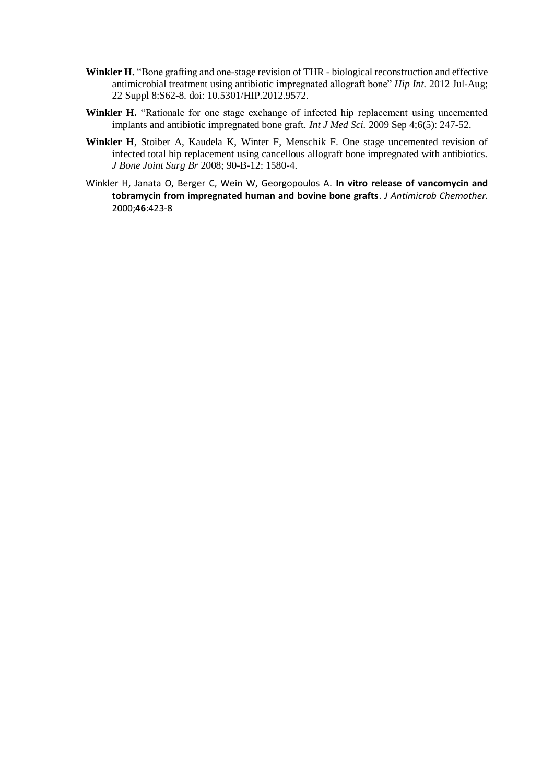- **Winkler H.** "Bone grafting and one-stage revision of THR biological reconstruction and effective antimicrobial treatment using antibiotic impregnated allograft bone" *Hip Int.* 2012 Jul-Aug; 22 Suppl 8:S62-8. doi: 10.5301/HIP.2012.9572.
- **Winkler H.** "Rationale for one stage exchange of infected hip replacement using uncemented implants and antibiotic impregnated bone graft. *Int J Med Sci.* 2009 Sep 4;6(5): 247-52.
- **Winkler H**, Stoiber A, Kaudela K, Winter F, Menschik F. One stage uncemented revision of infected total hip replacement using cancellous allograft bone impregnated with antibiotics. *J Bone Joint Surg Br* 2008; 90-B-12: 1580-4.
- Winkler H, Janata O, Berger C, Wein W, Georgopoulos A. **In vitro release of vancomycin and tobramycin from impregnated human and bovine bone grafts**. *J Antimicrob Chemother.*  2000;**46**:423-8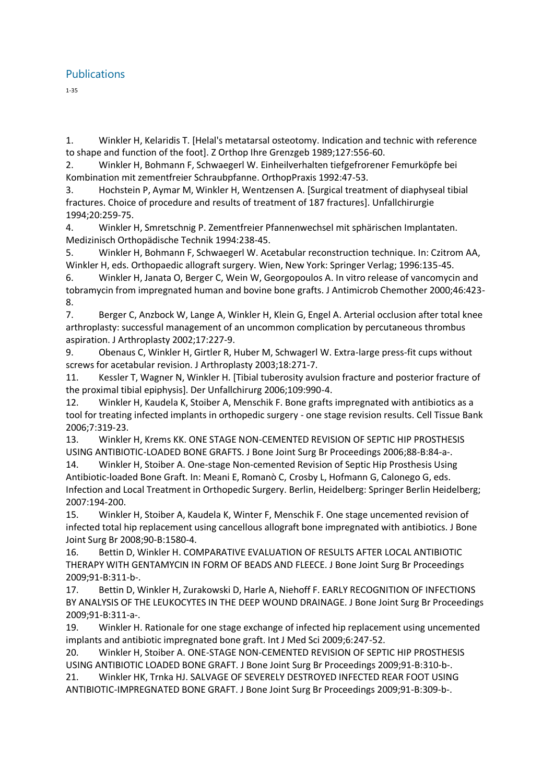## **Publications**

1-35

1. Winkler H, Kelaridis T. [Helal's metatarsal osteotomy. Indication and technic with reference to shape and function of the foot]. Z Orthop Ihre Grenzgeb 1989;127:556-60.

2. Winkler H, Bohmann F, Schwaegerl W. Einheilverhalten tiefgefrorener Femurköpfe bei Kombination mit zementfreier Schraubpfanne. OrthopPraxis 1992:47-53.

3. Hochstein P, Aymar M, Winkler H, Wentzensen A. [Surgical treatment of diaphyseal tibial fractures. Choice of procedure and results of treatment of 187 fractures]. Unfallchirurgie 1994;20:259-75.

4. Winkler H, Smretschnig P. Zementfreier Pfannenwechsel mit sphärischen Implantaten. Medizinisch Orthopädische Technik 1994:238-45.

5. Winkler H, Bohmann F, Schwaegerl W. Acetabular reconstruction technique. In: Czitrom AA, Winkler H, eds. Orthopaedic allograft surgery. Wien, New York: Springer Verlag; 1996:135-45.

6. Winkler H, Janata O, Berger C, Wein W, Georgopoulos A. In vitro release of vancomycin and tobramycin from impregnated human and bovine bone grafts. J Antimicrob Chemother 2000;46:423- 8.

7. Berger C, Anzbock W, Lange A, Winkler H, Klein G, Engel A. Arterial occlusion after total knee arthroplasty: successful management of an uncommon complication by percutaneous thrombus aspiration. J Arthroplasty 2002;17:227-9.

9. Obenaus C, Winkler H, Girtler R, Huber M, Schwagerl W. Extra-large press-fit cups without screws for acetabular revision. J Arthroplasty 2003;18:271-7.

11. Kessler T, Wagner N, Winkler H. [Tibial tuberosity avulsion fracture and posterior fracture of the proximal tibial epiphysis]. Der Unfallchirurg 2006;109:990-4.

12. Winkler H, Kaudela K, Stoiber A, Menschik F. Bone grafts impregnated with antibiotics as a tool for treating infected implants in orthopedic surgery - one stage revision results. Cell Tissue Bank 2006;7:319-23.

13. Winkler H, Krems KK. ONE STAGE NON-CEMENTED REVISION OF SEPTIC HIP PROSTHESIS USING ANTIBIOTIC-LOADED BONE GRAFTS. J Bone Joint Surg Br Proceedings 2006;88-B:84-a-.

14. Winkler H, Stoiber A. One-stage Non-cemented Revision of Septic Hip Prosthesis Using Antibiotic-loaded Bone Graft. In: Meani E, Romanò C, Crosby L, Hofmann G, Calonego G, eds. Infection and Local Treatment in Orthopedic Surgery. Berlin, Heidelberg: Springer Berlin Heidelberg; 2007:194-200.

15. Winkler H, Stoiber A, Kaudela K, Winter F, Menschik F. One stage uncemented revision of infected total hip replacement using cancellous allograft bone impregnated with antibiotics. J Bone Joint Surg Br 2008;90-B:1580-4.

16. Bettin D, Winkler H. COMPARATIVE EVALUATION OF RESULTS AFTER LOCAL ANTIBIOTIC THERAPY WITH GENTAMYCIN IN FORM OF BEADS AND FLEECE. J Bone Joint Surg Br Proceedings 2009;91-B:311-b-.

17. Bettin D, Winkler H, Zurakowski D, Harle A, Niehoff F. EARLY RECOGNITION OF INFECTIONS BY ANALYSIS OF THE LEUKOCYTES IN THE DEEP WOUND DRAINAGE. J Bone Joint Surg Br Proceedings 2009;91-B:311-a-.

19. Winkler H. Rationale for one stage exchange of infected hip replacement using uncemented implants and antibiotic impregnated bone graft. Int J Med Sci 2009;6:247-52.

20. Winkler H, Stoiber A. ONE-STAGE NON-CEMENTED REVISION OF SEPTIC HIP PROSTHESIS USING ANTIBIOTIC LOADED BONE GRAFT. J Bone Joint Surg Br Proceedings 2009;91-B:310-b-.

21. Winkler HK, Trnka HJ. SALVAGE OF SEVERELY DESTROYED INFECTED REAR FOOT USING ANTIBIOTIC-IMPREGNATED BONE GRAFT. J Bone Joint Surg Br Proceedings 2009;91-B:309-b-.